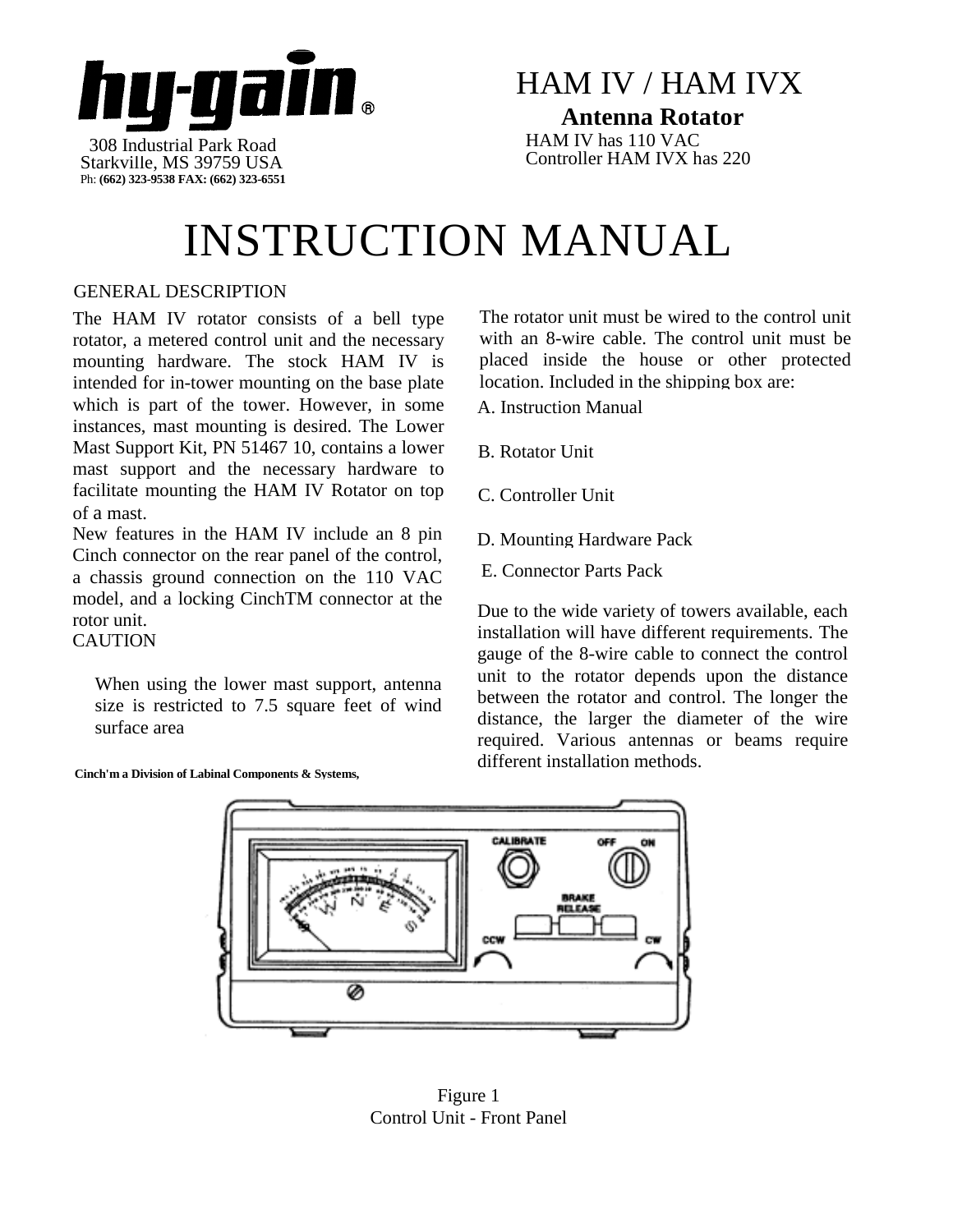

### HAM IV / HAM IVX **Antenna Rotator**

HAM IV has 110 VAC Controller HAM IVX has 220

# INSTRUCTION MANUAL

### GENERAL DESCRIPTION

The HAM IV rotator consists of a bell type rotator, a metered control unit and the necessary mounting hardware. The stock HAM IV is intended for in-tower mounting on the base plate which is part of the tower. However, in some instances, mast mounting is desired. The Lower Mast Support Kit, PN 51467 10, contains a lower mast support and the necessary hardware to facilitate mounting the HAM IV Rotator on top of a mast.

New features in the HAM IV include an 8 pin Cinch connector on the rear panel of the control, a chassis ground connection on the 110 VAC model, and a locking CinchTM connector at the rotor unit. **CAUTION** 

When using the lower mast support, antenna size is restricted to 7.5 square feet of wind surface area

**Cinch'm a Division of Labinal Components & Systems,**

The rotator unit must be wired to the control unit with an 8-wire cable. The control unit must be placed inside the house or other protected location. Included in the shipping box are:

- A. Instruction Manual
- B. Rotator Unit
- C. Controller Unit
- D. Mounting Hardware Pack
- E. Connector Parts Pack

Due to the wide variety of towers available, each installation will have different requirements. The gauge of the 8-wire cable to connect the control unit to the rotator depends upon the distance between the rotator and control. The longer the distance, the larger the diameter of the wire required. Various antennas or beams require different installation methods.



Figure 1 Control Unit - Front Panel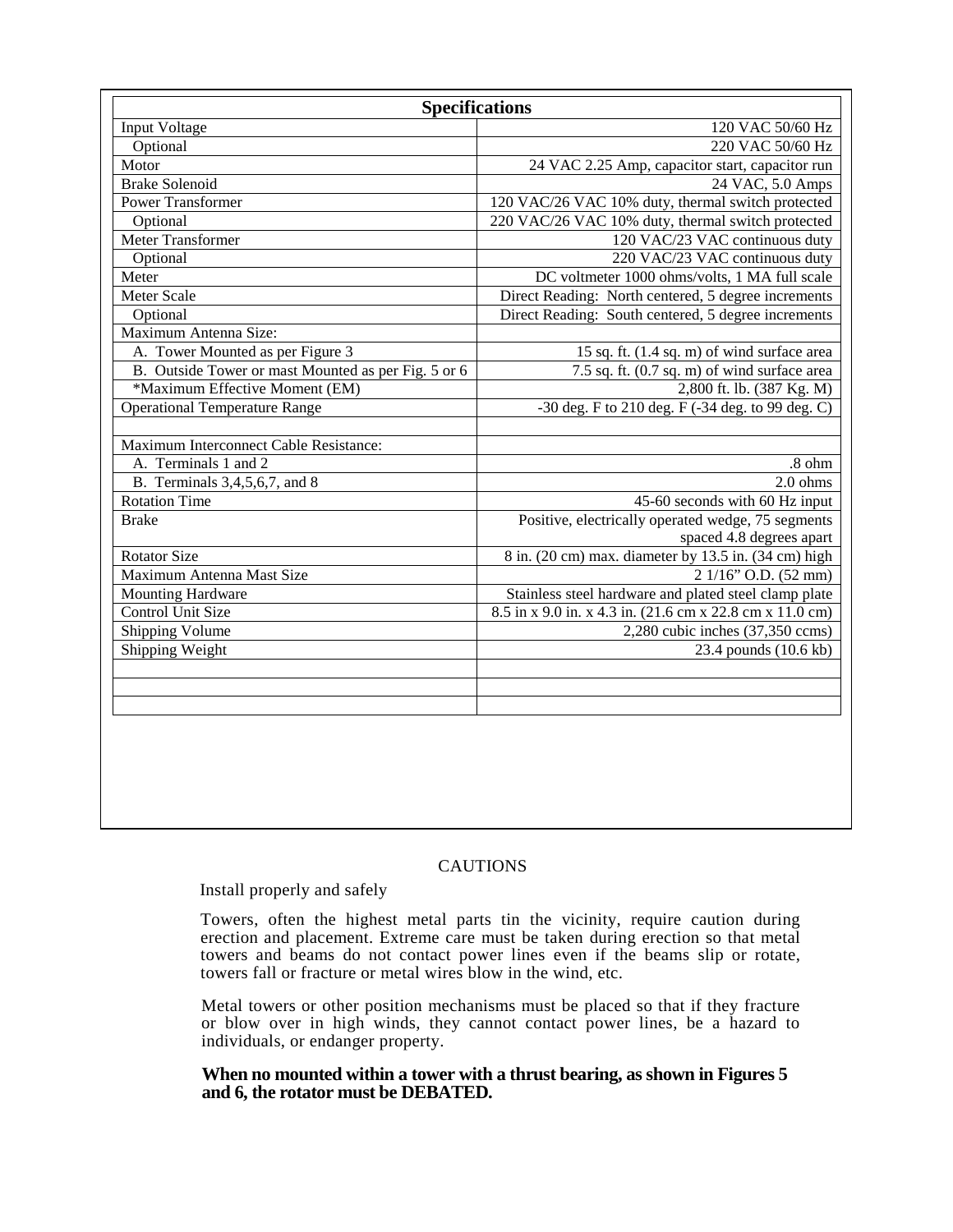| <b>Specifications</b>                               |                                                          |  |
|-----------------------------------------------------|----------------------------------------------------------|--|
| <b>Input Voltage</b><br>120 VAC 50/60 Hz            |                                                          |  |
| Optional                                            | 220 VAC 50/60 Hz                                         |  |
| Motor                                               | 24 VAC 2.25 Amp, capacitor start, capacitor run          |  |
| <b>Brake Solenoid</b>                               | 24 VAC, 5.0 Amps                                         |  |
| <b>Power Transformer</b>                            | 120 VAC/26 VAC 10% duty, thermal switch protected        |  |
| Optional                                            | 220 VAC/26 VAC 10% duty, thermal switch protected        |  |
| <b>Meter Transformer</b>                            | 120 VAC/23 VAC continuous duty                           |  |
| Optional                                            | 220 VAC/23 VAC continuous duty                           |  |
| Meter                                               | DC voltmeter 1000 ohms/volts, 1 MA full scale            |  |
| Meter Scale                                         | Direct Reading: North centered, 5 degree increments      |  |
| Optional                                            | Direct Reading: South centered, 5 degree increments      |  |
| Maximum Antenna Size:                               |                                                          |  |
| A. Tower Mounted as per Figure 3                    | 15 sq. ft. (1.4 sq. m) of wind surface area              |  |
| B. Outside Tower or mast Mounted as per Fig. 5 or 6 | 7.5 sq. ft. (0.7 sq. m) of wind surface area             |  |
| *Maximum Effective Moment (EM)                      | 2,800 ft. lb. (387 Kg. M)                                |  |
| <b>Operational Temperature Range</b>                | $-30$ deg. F to 210 deg. F $(-34$ deg. to 99 deg. C)     |  |
|                                                     |                                                          |  |
| Maximum Interconnect Cable Resistance:              |                                                          |  |
| A. Terminals 1 and 2                                | .8 ohm                                                   |  |
| B. Terminals 3,4,5,6,7, and 8                       | $2.0$ ohms                                               |  |
| <b>Rotation Time</b>                                | 45-60 seconds with 60 Hz input                           |  |
| <b>Brake</b>                                        | Positive, electrically operated wedge, 75 segments       |  |
|                                                     | spaced 4.8 degrees apart                                 |  |
| <b>Rotator Size</b>                                 | 8 in. (20 cm) max. diameter by 13.5 in. (34 cm) high     |  |
| Maximum Antenna Mast Size                           | 2 1/16" O.D. (52 mm)                                     |  |
| <b>Mounting Hardware</b>                            | Stainless steel hardware and plated steel clamp plate    |  |
| <b>Control Unit Size</b>                            | 8.5 in x 9.0 in. x 4.3 in. (21.6 cm x 22.8 cm x 11.0 cm) |  |
| Shipping Volume                                     | $2,280$ cubic inches $(37,350$ ccms)                     |  |
| Shipping Weight                                     | 23.4 pounds (10.6 kb)                                    |  |
|                                                     |                                                          |  |
|                                                     |                                                          |  |
|                                                     |                                                          |  |
|                                                     |                                                          |  |
|                                                     |                                                          |  |
|                                                     |                                                          |  |

#### CAUTIONS

#### Install properly and safely

Towers, often the highest metal parts tin the vicinity, require caution during erection and placement. Extreme care must be taken during erection so that metal towers and beams do not contact power lines even if the beams slip or rotate, towers fall or fracture or metal wires blow in the wind, etc.

Metal towers or other position mechanisms must be placed so that if they fracture or blow over in high winds, they cannot contact power lines, be a hazard to individuals, or endanger property.

#### **When no mounted within a tower with a thrust bearing, as shown in Figures 5 and 6, the rotator must be DEBATED.**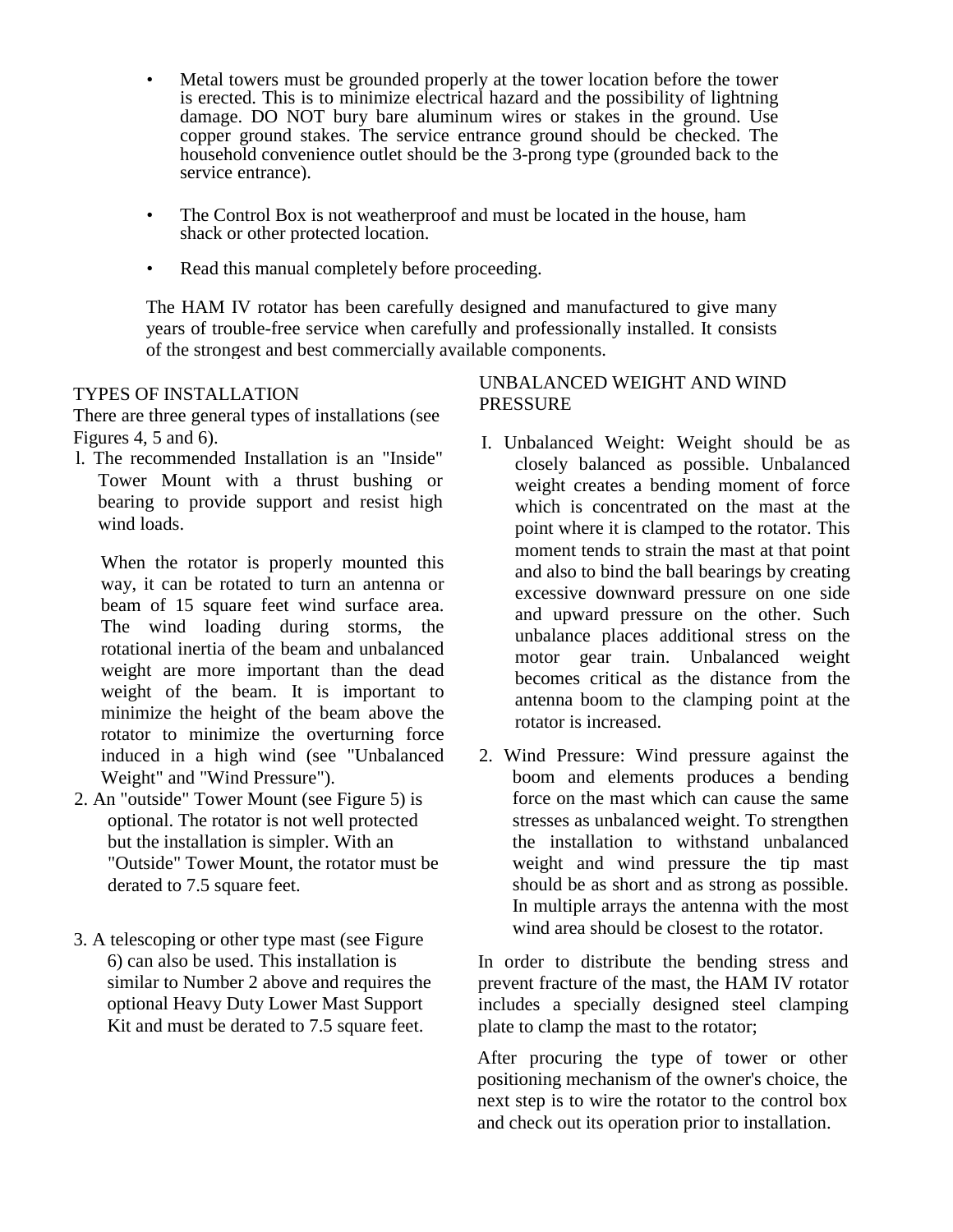- Metal towers must be grounded properly at the tower location before the tower is erected. This is to minimize electrical hazard and the possibility of lightning damage. DO NOT bury bare aluminum wires or stakes in the ground. Use copper ground stakes. The service entrance ground should be checked. The household convenience outlet should be the 3-prong type (grounded back to the service entrance).
- The Control Box is not weatherproof and must be located in the house, ham shack or other protected location.
- Read this manual completely before proceeding.

The HAM IV rotator has been carefully designed and manufactured to give many years of trouble-free service when carefully and professionally installed. It consists of the strongest and best commercially available components.

#### TYPES OF INSTALLATION

There are three general types of installations (see Figures 4, 5 and 6).

l. The recommended Installation is an "Inside" Tower Mount with a thrust bushing or bearing to provide support and resist high wind loads.

When the rotator is properly mounted this way, it can be rotated to turn an antenna or beam of 15 square feet wind surface area. The wind loading during storms, the rotational inertia of the beam and unbalanced weight are more important than the dead weight of the beam. It is important to minimize the height of the beam above the rotator to minimize the overturning force induced in a high wind (see "Unbalanced Weight" and "Wind Pressure").

- 2. An "outside" Tower Mount (see Figure 5) is optional. The rotator is not well protected but the installation is simpler. With an "Outside" Tower Mount, the rotator must be derated to 7.5 square feet.
- 3. A telescoping or other type mast (see Figure 6) can also be used. This installation is similar to Number 2 above and requires the optional Heavy Duty Lower Mast Support Kit and must be derated to 7.5 square feet.

#### UNBALANCED WEIGHT AND WIND PRESSURE

- I. Unbalanced Weight: Weight should be as closely balanced as possible. Unbalanced weight creates a bending moment of force which is concentrated on the mast at the point where it is clamped to the rotator. This moment tends to strain the mast at that point and also to bind the ball bearings by creating excessive downward pressure on one side and upward pressure on the other. Such unbalance places additional stress on the motor gear train. Unbalanced weight becomes critical as the distance from the antenna boom to the clamping point at the rotator is increased.
- 2. Wind Pressure: Wind pressure against the boom and elements produces a bending force on the mast which can cause the same stresses as unbalanced weight. To strengthen the installation to withstand unbalanced weight and wind pressure the tip mast should be as short and as strong as possible. In multiple arrays the antenna with the most wind area should be closest to the rotator.

In order to distribute the bending stress and prevent fracture of the mast, the HAM IV rotator includes a specially designed steel clamping plate to clamp the mast to the rotator;

After procuring the type of tower or other positioning mechanism of the owner's choice, the next step is to wire the rotator to the control box and check out its operation prior to installation.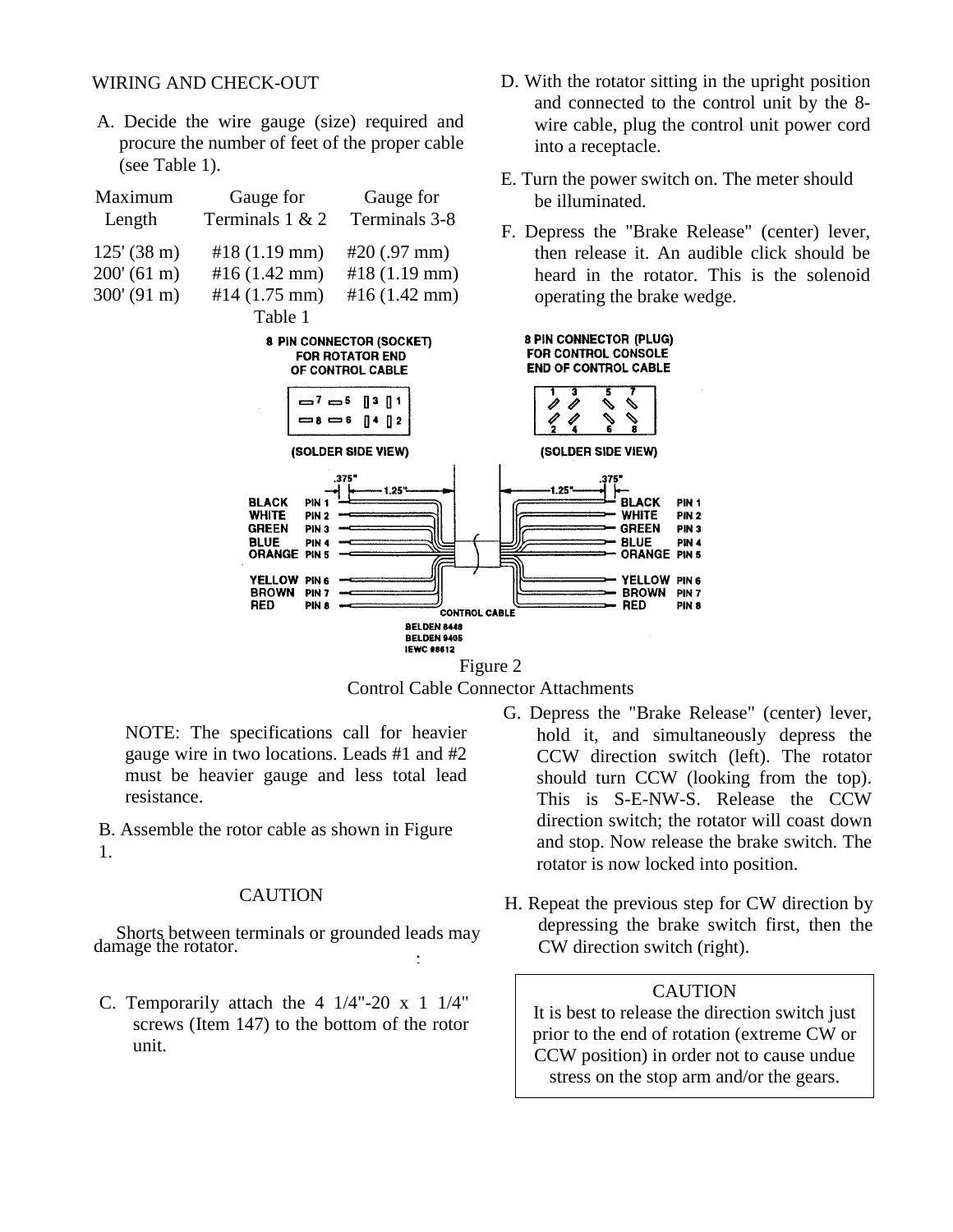#### WIRING AND CHECK-OUT

A. Decide the wire gauge (size) required and procure the number of feet of the proper cable (see Table 1).

| Maximum               | Gauge for                                                                                                                                                                                                                                | Gauge for                                                              | be illuminated.                                                                                                                                                                                                                                                          |
|-----------------------|------------------------------------------------------------------------------------------------------------------------------------------------------------------------------------------------------------------------------------------|------------------------------------------------------------------------|--------------------------------------------------------------------------------------------------------------------------------------------------------------------------------------------------------------------------------------------------------------------------|
| Length                | Terminals 1 & 2                                                                                                                                                                                                                          | Terminals 3-8                                                          | F. Depress the "Brake Release" (cen                                                                                                                                                                                                                                      |
| $125' (38 \text{ m})$ | $#18(1.19 \text{ mm})$                                                                                                                                                                                                                   | $\#20(.97 \text{ mm})$                                                 | then release it. An audible click                                                                                                                                                                                                                                        |
| 200' (61 m)           | #16 $(1.42$ mm)                                                                                                                                                                                                                          | $#18(1.19 \text{ mm})$                                                 | heard in the rotator. This is the                                                                                                                                                                                                                                        |
| 300' (91 m)           | #14 $(1.75$ mm)                                                                                                                                                                                                                          | #16 $(1.42$ mm)                                                        | operating the brake wedge.                                                                                                                                                                                                                                               |
|                       | Table 1                                                                                                                                                                                                                                  |                                                                        |                                                                                                                                                                                                                                                                          |
|                       |                                                                                                                                                                                                                                          | 8 PIN CONNECTOR (SOCKET)<br><b>FOR ROTATOR END</b><br>OF CONTROL CABLE | <b>8 PIN CONNECTOR (PLUG)</b><br><b>FOR CONTROL CONSOLE</b><br><b>END OF CONTROL CABLE</b>                                                                                                                                                                               |
|                       |                                                                                                                                                                                                                                          | —7 —5 ∏3 ∏1<br>$= 8 = 6$ $\left[ 4 \right]$ $\left[ 2 \right]$         |                                                                                                                                                                                                                                                                          |
|                       |                                                                                                                                                                                                                                          | (SOLDER SIDE VIEW)                                                     | (SOLDER SIDE VIEW)                                                                                                                                                                                                                                                       |
|                       | <b>BLACK</b><br><b>PIN 1</b><br><b>WHITE</b><br>PIN <sub>2</sub><br><b>GREEN</b><br>PIN <sub>3</sub><br><b>BLUE</b><br>PIN <sub>4</sub><br><b>ORANGE PIN 5</b><br>YELLOW PINS<br><b>BROWN</b><br>PIN <sub>7</sub><br><b>RED</b><br>PIN 8 | .375'<br>1.25"<br><b>CONTROL CABLE</b>                                 | 1.25"<br>PIN <sub>1</sub><br>BLACK<br>WHITE<br>PIN <sub>2</sub><br><b>GREEN</b><br>PIN <sub>3</sub><br><b>BLUE</b><br>PIN <sub>4</sub><br><b>ORANGE PIN 5</b><br><b>YELLOW</b><br>PIN <sub>6</sub><br><b>BROWN</b><br>PIN <sub>7</sub><br><b>RED</b><br>PIN <sub>8</sub> |
|                       |                                                                                                                                                                                                                                          | <b>BELDEN 8448</b><br><b>BELDEN 9405</b>                               |                                                                                                                                                                                                                                                                          |
|                       |                                                                                                                                                                                                                                          | <b>IEWC #8612</b>                                                      | $\Gamma$ iouro 2                                                                                                                                                                                                                                                         |



NOTE: The specifications call for heavier gauge wire in two locations. Leads #1 and #2 must be heavier gauge and less total lead resistance.

B. Assemble the rotor cable as shown in Figure 1.

#### CAUTION

Shorts between terminals or grounded leads may damage the rotator. :

- C. Temporarily attach the  $4 \frac{1}{4}$ "-20 x 1  $\frac{1}{4}$ " screws (Item 147) to the bottom of the rotor unit.
- G. Depress the "Brake Release" (center) lever, hold it, and simultaneously depress the CCW direction switch (left). The rotator should turn CCW (looking from the top). This is S-E-NW-S. Release the CCW direction switch; the rotator will coast down and stop. Now release the brake switch. The rotator is now locked into position.
- H. Repeat the previous step for CW direction by depressing the brake switch first, then the CW direction switch (right).

#### **CAUTION**

It is best to release the direction switch just prior to the end of rotation (extreme CW or CCW position) in order not to cause undue stress on the stop arm and/or the gears.

- D. With the rotator sitting in the upright position and connected to the control unit by the 8 wire cable, plug the control unit power cord into a receptacle.
- E. Turn the power switch on. The meter should
- ter) lever, should be e solenoid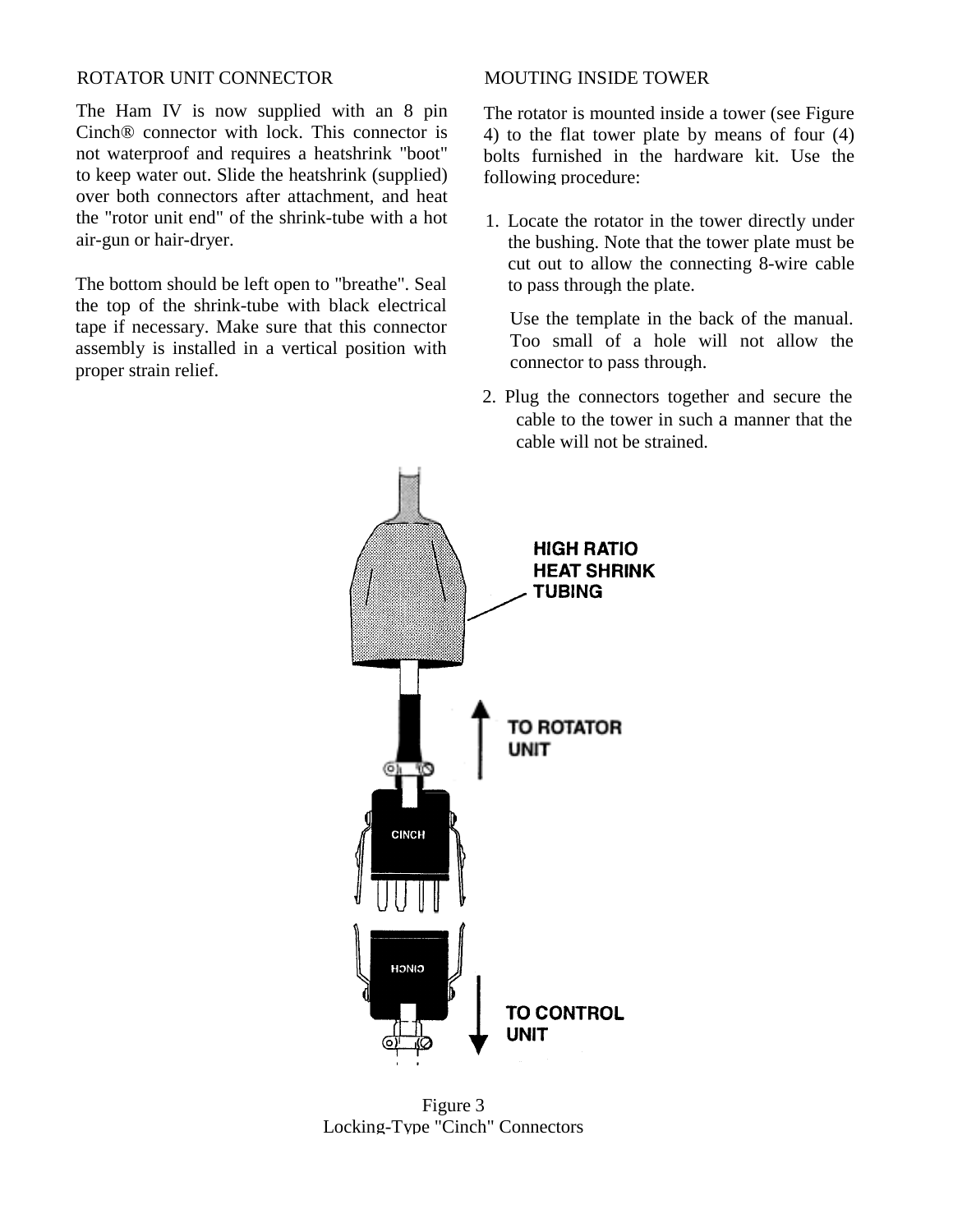#### ROTATOR UNIT CONNECTOR MOUTING INSIDE TOWER

The Ham IV is now supplied with an 8 pin Cinch® connector with lock. This connector is not waterproof and requires a heatshrink "boot" to keep water out. Slide the heatshrink (supplied) over both connectors after attachment, and heat the "rotor unit end" of the shrink-tube with a hot air-gun or hair-dryer.

The bottom should be left open to "breathe". Seal the top of the shrink-tube with black electrical tape if necessary. Make sure that this connector assembly is installed in a vertical position with proper strain relief.

The rotator is mounted inside a tower (see Figure 4) to the flat tower plate by means of four (4) bolts furnished in the hardware kit. Use the following procedure:

1. Locate the rotator in the tower directly under the bushing. Note that the tower plate must be cut out to allow the connecting 8-wire cable to pass through the plate.

Use the template in the back of the manual. Too small of a hole will not allow the connector to pass through.

2. Plug the connectors together and secure the cable to the tower in such a manner that the cable will not be strained.



Figure 3 Locking-Type "Cinch" Connectors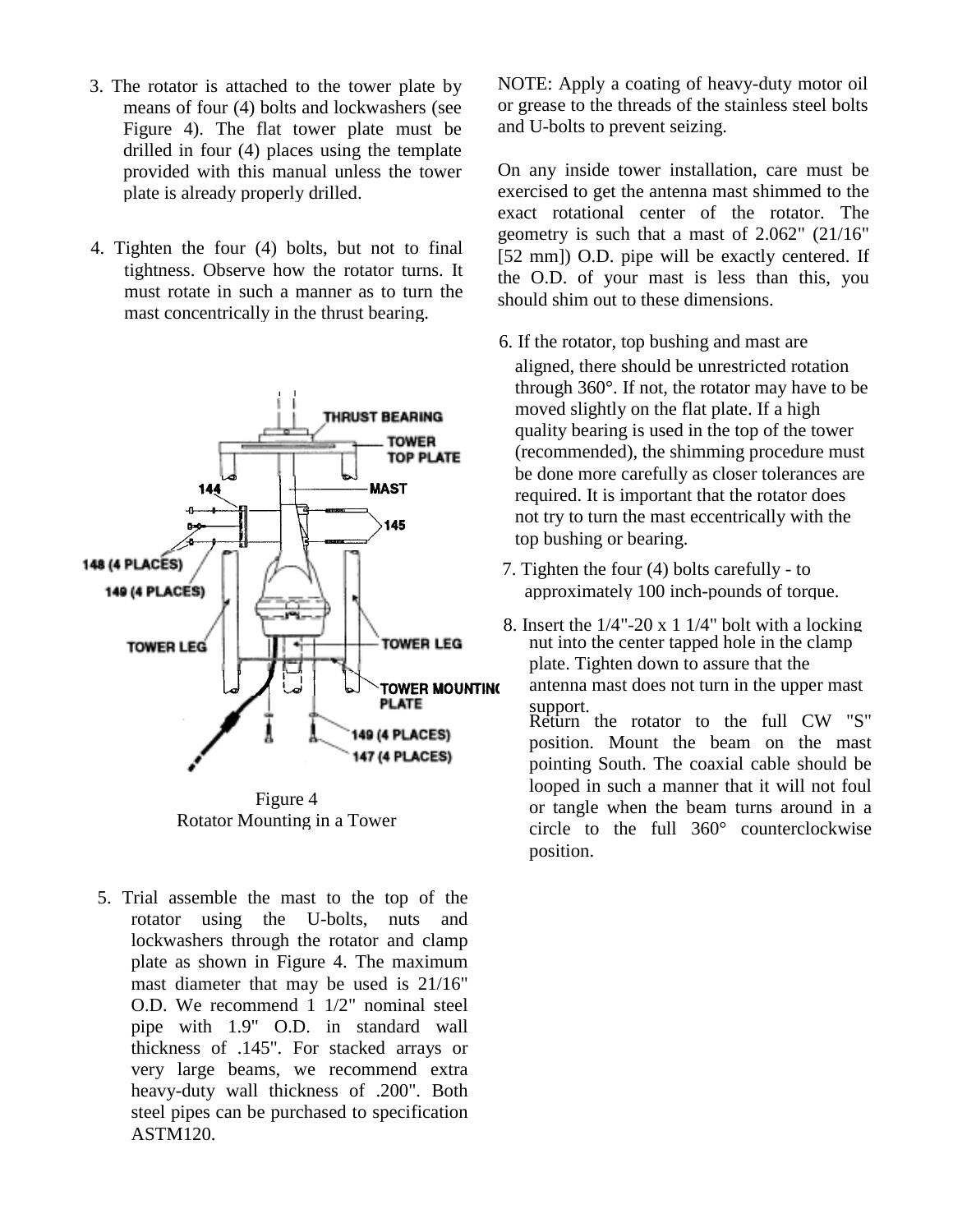- 3. The rotator is attached to the tower plate by means of four (4) bolts and lockwashers (see Figure 4). The flat tower plate must be drilled in four (4) places using the template provided with this manual unless the tower plate is already properly drilled.
- 4. Tighten the four (4) bolts, but not to final tightness. Observe how the rotator turns. It must rotate in such a manner as to turn the mast concentrically in the thrust bearing.



Rotator Mounting in a Tower

5. Trial assemble the mast to the top of the rotator using the U-bolts, nuts and lockwashers through the rotator and clamp plate as shown in Figure 4. The maximum mast diameter that may be used is 21/16" O.D. We recommend 1 1/2" nominal steel pipe with 1.9" O.D. in standard wall thickness of .145". For stacked arrays or very large beams, we recommend extra heavy-duty wall thickness of .200". Both steel pipes can be purchased to specification ASTM120.

NOTE: Apply a coating of heavy-duty motor oil or grease to the threads of the stainless steel bolts and U-bolts to prevent seizing.

On any inside tower installation, care must be exercised to get the antenna mast shimmed to the exact rotational center of the rotator. The geometry is such that a mast of 2.062" (21/16" [52 mm]) O.D. pipe will be exactly centered. If the O.D. of your mast is less than this, you should shim out to these dimensions.

- 6. If the rotator, top bushing and mast are aligned, there should be unrestricted rotation through 360°. If not, the rotator may have to be moved slightly on the flat plate. If a high quality bearing is used in the top of the tower (recommended), the shimming procedure must be done more carefully as closer tolerances are required. It is important that the rotator does not try to turn the mast eccentrically with the top bushing or bearing.
- 7. Tighten the four (4) bolts carefully to approximately 100 inch-pounds of torque.
- 8. Insert the  $1/4$ "-20 x 1  $1/4$ " bolt with a locking nut into the center tapped hole in the clamp plate. Tighten down to assure that the antenna mast does not turn in the upper mast support. Return the rotator to the full CW "S" position. Mount the beam on the mast pointing South. The coaxial cable should be looped in such a manner that it will not foul or tangle when the beam turns around in a circle to the full 360° counterclockwise position.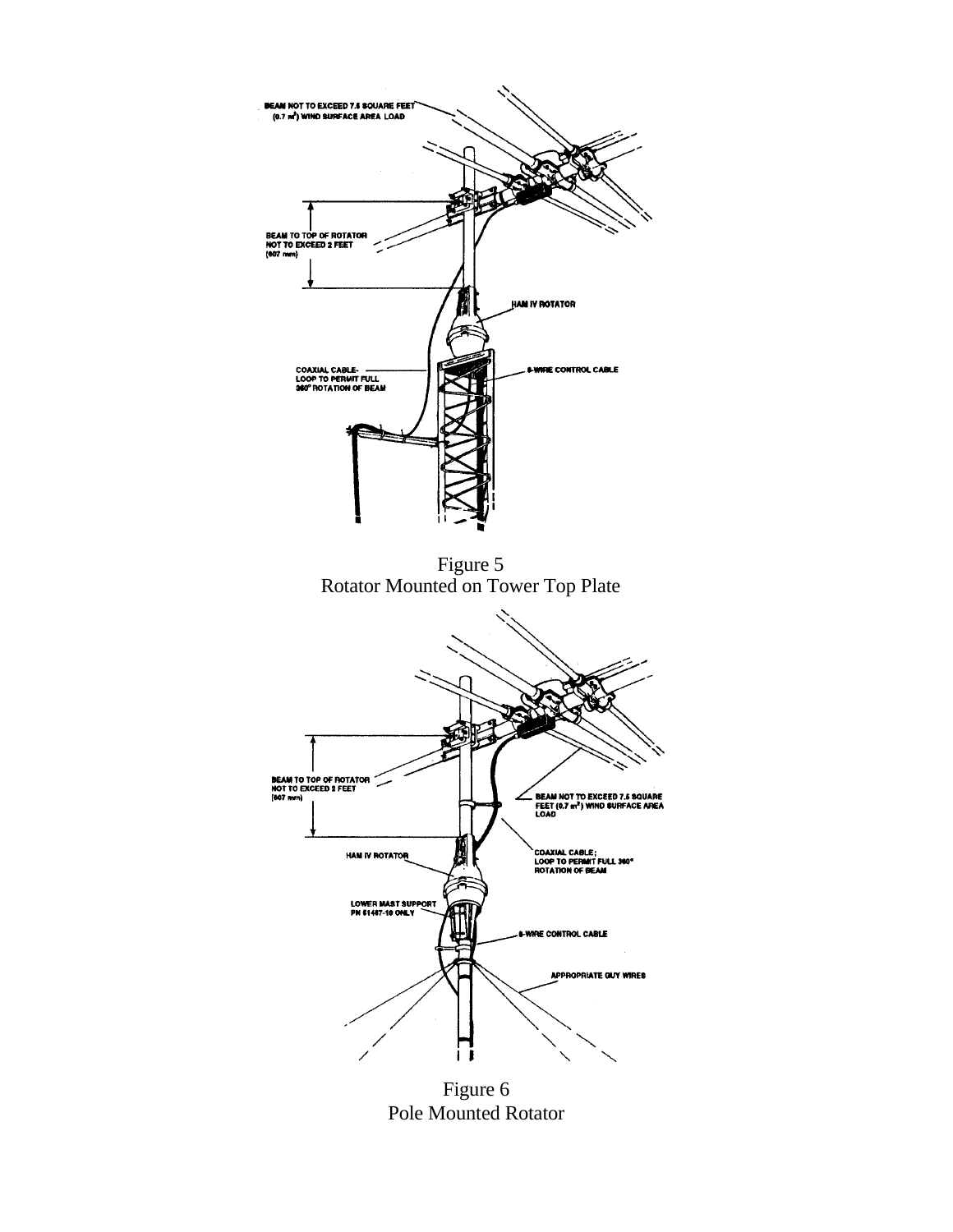

Figure 6 Pole Mounted Rotator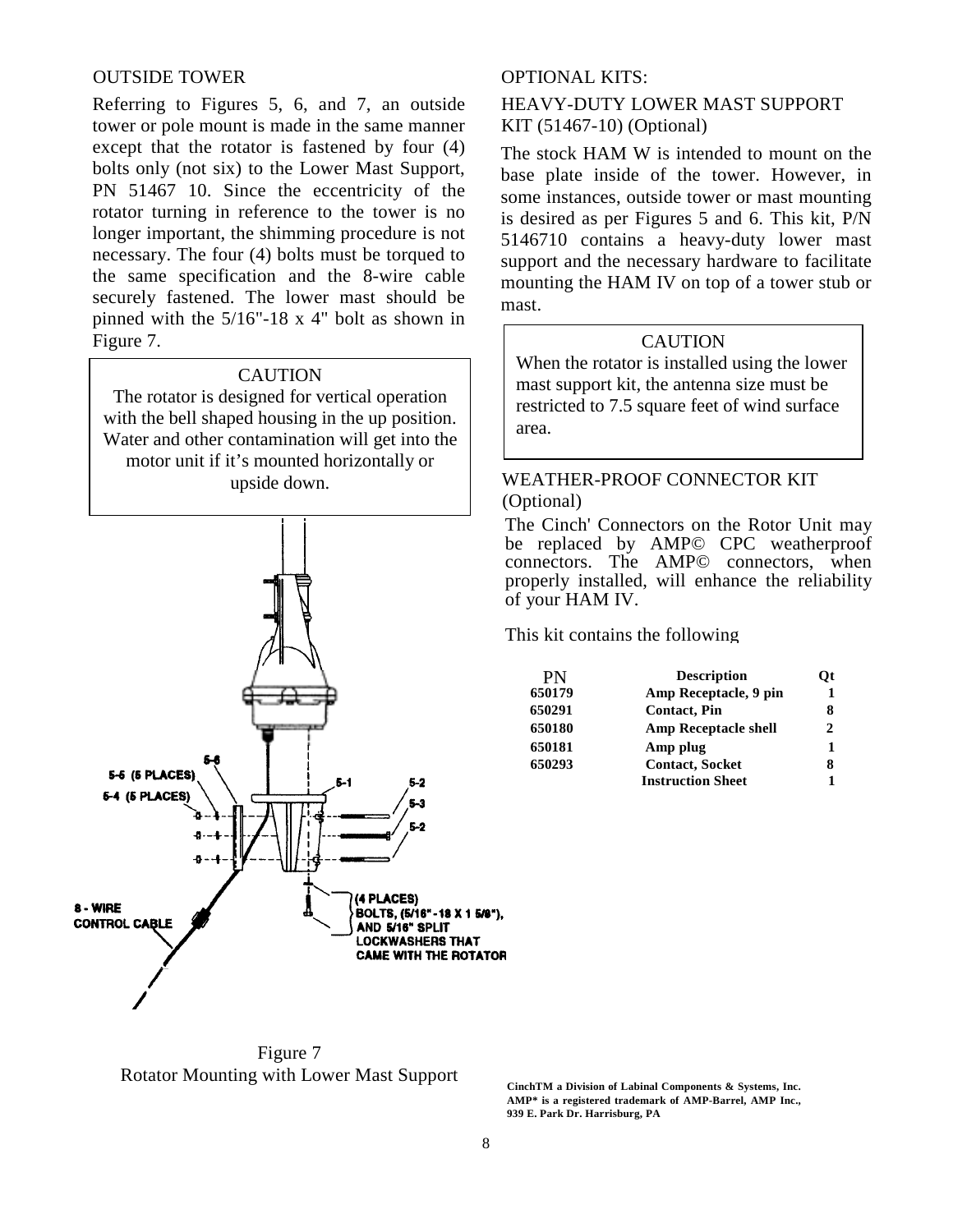#### OUTSIDE TOWER OPTIONAL KITS:

Referring to Figures 5, 6, and 7, an outside tower or pole mount is made in the same manner except that the rotator is fastened by four (4) bolts only (not six) to the Lower Mast Support, PN 51467 10. Since the eccentricity of the rotator turning in reference to the tower is no longer important, the shimming procedure is not necessary. The four (4) bolts must be torqued to the same specification and the 8-wire cable securely fastened. The lower mast should be pinned with the 5/16"-18 x 4" bolt as shown in Figure 7.

#### **CAUTION**

The rotator is designed for vertical operation with the bell shaped housing in the up position. Water and other contamination will get into the motor unit if it's mounted horizontally or upside down.



The stock HAM W is intended to mount on the base plate inside of the tower. However, in some instances, outside tower or mast mounting is desired as per Figures 5 and 6. This kit, P/N 5146710 contains a heavy-duty lower mast support and the necessary hardware to facilitate mounting the HAM IV on top of a tower stub or mast.

HEAVY-DUTY LOWER MAST SUPPORT

KIT (51467-10) (Optional)

#### **CAUTION**

When the rotator is installed using the lower mast support kit, the antenna size must be restricted to 7.5 square feet of wind surface area.

### WEATHER-PROOF CONNECTOR KIT (Optional)

The Cinch' Connectors on the Rotor Unit may be replaced by AMP© CPC weatherproof connectors. The AMP© connectors, when properly installed, will enhance the reliability of your HAM IV.

This kit contains the following

| PN     | <b>Description</b>          | Ot |
|--------|-----------------------------|----|
| 650179 | Amp Receptacle, 9 pin       | 1  |
| 650291 | <b>Contact, Pin</b>         | 8  |
| 650180 | <b>Amp Receptacle shell</b> | 2  |
| 650181 | Amp plug                    |    |
| 650293 | <b>Contact, Socket</b>      | 8  |
|        | <b>Instruction Sheet</b>    |    |

Figure 7 Rotator Mounting with Lower Mast Support

**CinchTM a Division of Labinal Components & Systems, Inc. AMP\* is a registered trademark of AMP-Barrel, AMP Inc., 939 E. Park Dr. Harrisburg, PA**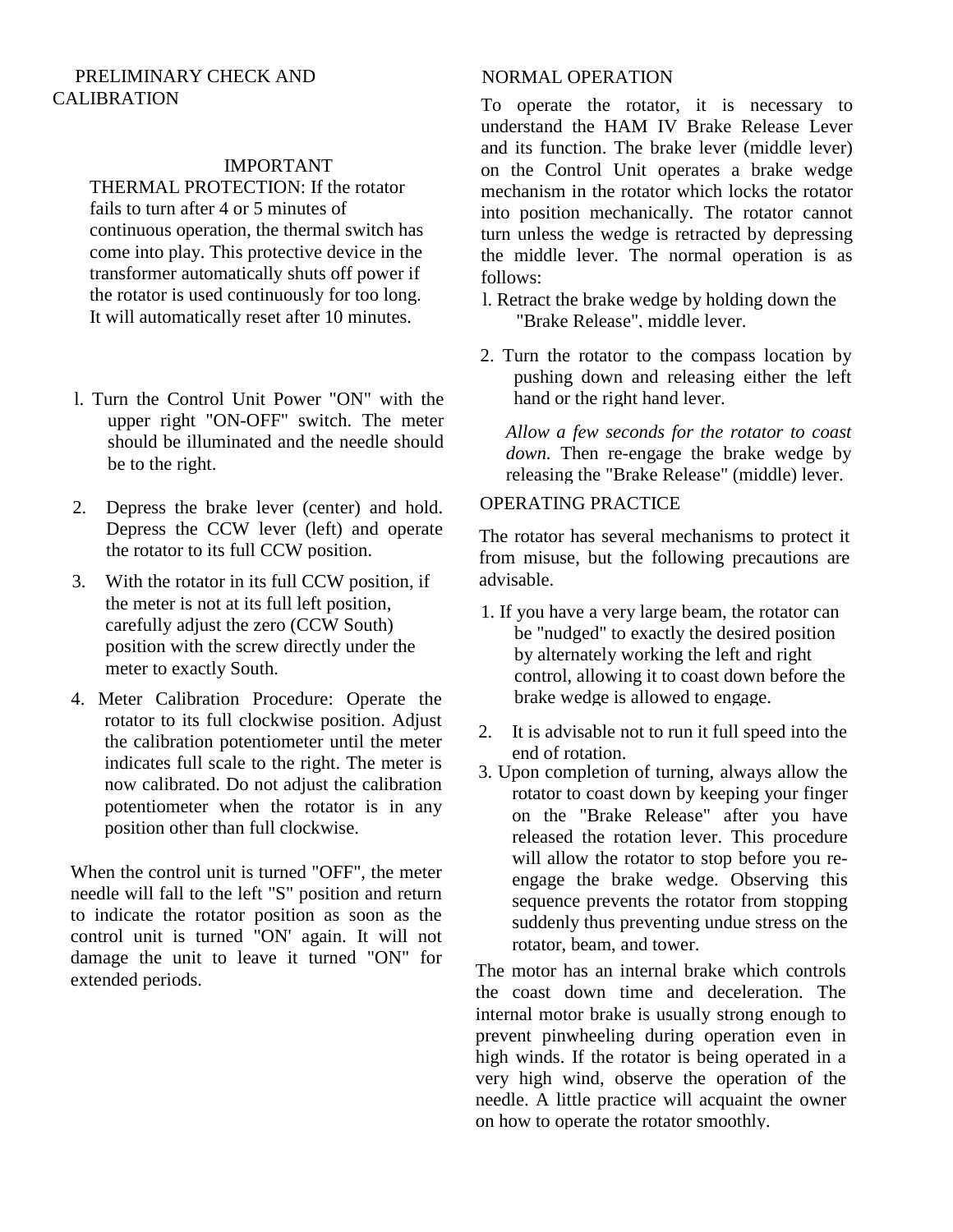#### PRELIMINARY CHECK AND CALIBRATION

#### IMPORTANT

THERMAL PROTECTION: If the rotator fails to turn after 4 or 5 minutes of continuous operation, the thermal switch has come into play. This protective device in the transformer automatically shuts off power if the rotator is used continuously for too long. It will automatically reset after 10 minutes.

- l. Turn the Control Unit Power "ON" with the upper right "ON-OFF" switch. The meter should be illuminated and the needle should be to the right.
- 2. Depress the brake lever (center) and hold. Depress the CCW lever (left) and operate the rotator to its full CCW position.
- 3. With the rotator in its full CCW position, if the meter is not at its full left position, carefully adjust the zero (CCW South) position with the screw directly under the meter to exactly South.
- 4. Meter Calibration Procedure: Operate the rotator to its full clockwise position. Adjust the calibration potentiometer until the meter indicates full scale to the right. The meter is now calibrated. Do not adjust the calibration potentiometer when the rotator is in any position other than full clockwise.

When the control unit is turned "OFF", the meter needle will fall to the left "S" position and return to indicate the rotator position as soon as the control unit is turned "ON' again. It will not damage the unit to leave it turned "ON" for extended periods.

#### NORMAL OPERATION

To operate the rotator, it is necessary to understand the HAM IV Brake Release Lever and its function. The brake lever (middle lever) on the Control Unit operates a brake wedge mechanism in the rotator which locks the rotator into position mechanically. The rotator cannot turn unless the wedge is retracted by depressing the middle lever. The normal operation is as follows:

- l. Retract the brake wedge by holding down the "Brake Release", middle lever.
- 2. Turn the rotator to the compass location by pushing down and releasing either the left hand or the right hand lever.

*Allow a few seconds for the rotator to coast down.* Then re-engage the brake wedge by releasing the "Brake Release" (middle) lever.

#### OPERATING PRACTICE

The rotator has several mechanisms to protect it from misuse, but the following precautions are advisable.

- 1. If you have a very large beam, the rotator can be "nudged" to exactly the desired position by alternately working the left and right control, allowing it to coast down before the brake wedge is allowed to engage.
- 2. It is advisable not to run it full speed into the end of rotation.
- 3. Upon completion of turning, always allow the rotator to coast down by keeping your finger on the "Brake Release" after you have released the rotation lever. This procedure will allow the rotator to stop before you reengage the brake wedge. Observing this sequence prevents the rotator from stopping suddenly thus preventing undue stress on the rotator, beam, and tower.

The motor has an internal brake which controls the coast down time and deceleration. The internal motor brake is usually strong enough to prevent pinwheeling during operation even in high winds. If the rotator is being operated in a very high wind, observe the operation of the needle. A little practice will acquaint the owner on how to operate the rotator smoothly.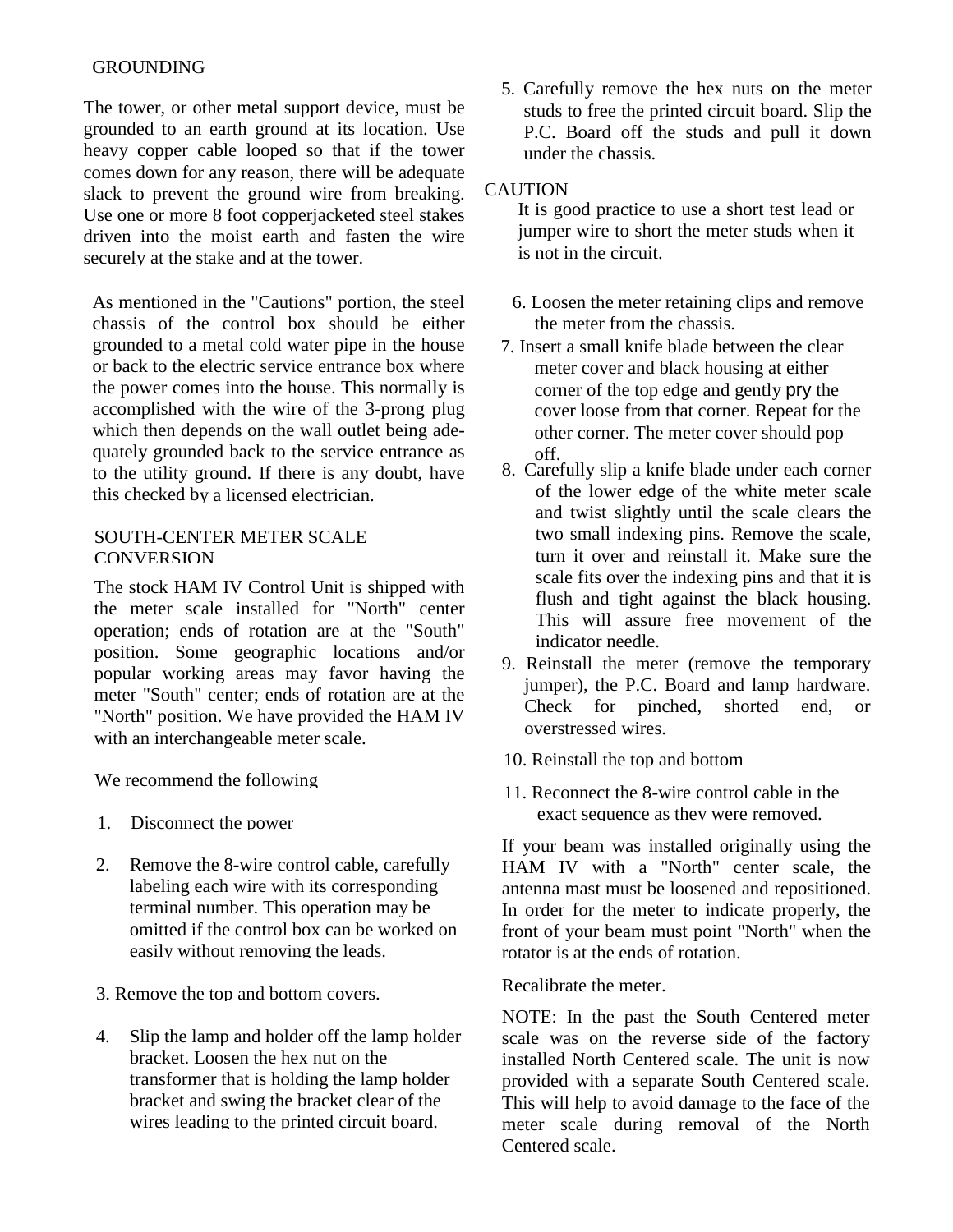#### GROUNDING

The tower, or other metal support device, must be grounded to an earth ground at its location. Use heavy copper cable looped so that if the tower comes down for any reason, there will be adequate slack to prevent the ground wire from breaking. Use one or more 8 foot copperjacketed steel stakes driven into the moist earth and fasten the wire securely at the stake and at the tower.

As mentioned in the "Cautions" portion, the steel chassis of the control box should be either grounded to a metal cold water pipe in the house or back to the electric service entrance box where the power comes into the house. This normally is accomplished with the wire of the 3-prong plug which then depends on the wall outlet being adequately grounded back to the service entrance as to the utility ground. If there is any doubt, have this checked by a licensed electrician.

#### SOUTH-CENTER METER SCALE **CONVERSION**

The stock HAM IV Control Unit is shipped with the meter scale installed for "North" center operation; ends of rotation are at the "South" position. Some geographic locations and/or popular working areas may favor having the meter "South" center; ends of rotation are at the "North" position. We have provided the HAM IV with an interchangeable meter scale.

We recommend the following

- 1. Disconnect the power
- 2. Remove the 8-wire control cable, carefully labeling each wire with its corresponding terminal number. This operation may be omitted if the control box can be worked on easily without removing the leads.
- 3. Remove the top and bottom covers.
- 4. Slip the lamp and holder off the lamp holder bracket. Loosen the hex nut on the transformer that is holding the lamp holder bracket and swing the bracket clear of the wires leading to the printed circuit board.

5. Carefully remove the hex nuts on the meter studs to free the printed circuit board. Slip the P.C. Board off the studs and pull it down under the chassis.

#### **CAUTION**

It is good practice to use a short test lead or jumper wire to short the meter studs when it is not in the circuit.

- 6. Loosen the meter retaining clips and remove the meter from the chassis.
- 7. Insert a small knife blade between the clear meter cover and black housing at either corner of the top edge and gently pry the cover loose from that corner. Repeat for the other corner. The meter cover should pop off.
- 8. Carefully slip a knife blade under each corner of the lower edge of the white meter scale and twist slightly until the scale clears the two small indexing pins. Remove the scale, turn it over and reinstall it. Make sure the scale fits over the indexing pins and that it is flush and tight against the black housing. This will assure free movement of the indicator needle.
- 9. Reinstall the meter (remove the temporary jumper), the P.C. Board and lamp hardware. Check for pinched, shorted end, or overstressed wires.
- 10. Reinstall the top and bottom
- 11. Reconnect the 8-wire control cable in the exact sequence as they were removed.

If your beam was installed originally using the HAM IV with a "North" center scale, the antenna mast must be loosened and repositioned. In order for the meter to indicate properly, the front of your beam must point "North" when the rotator is at the ends of rotation.

Recalibrate the meter.

NOTE: In the past the South Centered meter scale was on the reverse side of the factory installed North Centered scale. The unit is now provided with a separate South Centered scale. This will help to avoid damage to the face of the meter scale during removal of the North Centered scale.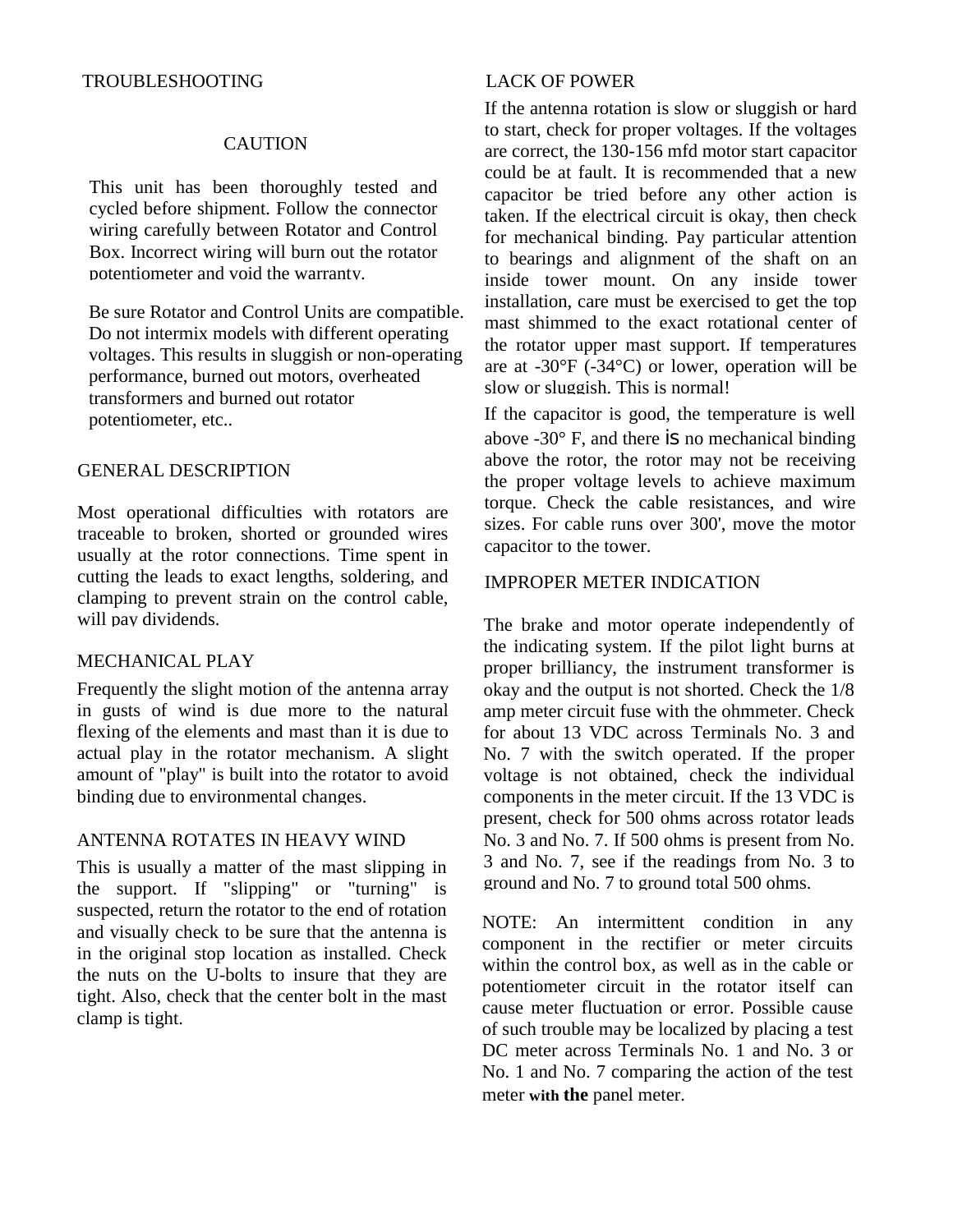#### CAUTION

This unit has been thoroughly tested and cycled before shipment. Follow the connector wiring carefully between Rotator and Control Box. Incorrect wiring will burn out the rotator potentiometer and void the warranty.

Be sure Rotator and Control Units are compatible. Do not intermix models with different operating voltages. This results in sluggish or non-operating performance, burned out motors, overheated transformers and burned out rotator potentiometer, etc..

#### GENERAL DESCRIPTION

Most operational difficulties with rotators are traceable to broken, shorted or grounded wires usually at the rotor connections. Time spent in cutting the leads to exact lengths, soldering, and clamping to prevent strain on the control cable, will pay dividends.

#### MECHANICAL PLAY

Frequently the slight motion of the antenna array in gusts of wind is due more to the natural flexing of the elements and mast than it is due to actual play in the rotator mechanism. A slight amount of "play" is built into the rotator to avoid binding due to environmental changes.

#### ANTENNA ROTATES IN HEAVY WIND

This is usually a matter of the mast slipping in the support. If "slipping" or "turning" is suspected, return the rotator to the end of rotation and visually check to be sure that the antenna is in the original stop location as installed. Check the nuts on the U-bolts to insure that they are tight. Also, check that the center bolt in the mast clamp is tight.

If the antenna rotation is slow or sluggish or hard to start, check for proper voltages. If the voltages are correct, the 130-156 mfd motor start capacitor could be at fault. It is recommended that a new capacitor be tried before any other action is taken. If the electrical circuit is okay, then check for mechanical binding. Pay particular attention to bearings and alignment of the shaft on an inside tower mount. On any inside tower installation, care must be exercised to get the top mast shimmed to the exact rotational center of the rotator upper mast support. If temperatures are at -30°F (-34°C) or lower, operation will be slow or sluggish. This is normal!

If the capacitor is good, the temperature is well above -30° F, and there is no mechanical binding above the rotor, the rotor may not be receiving the proper voltage levels to achieve maximum torque. Check the cable resistances, and wire sizes. For cable runs over 300', move the motor capacitor to the tower.

#### IMPROPER METER INDICATION

The brake and motor operate independently of the indicating system. If the pilot light burns at proper brilliancy, the instrument transformer is okay and the output is not shorted. Check the 1/8 amp meter circuit fuse with the ohmmeter. Check for about 13 VDC across Terminals No. 3 and No. 7 with the switch operated. If the proper voltage is not obtained, check the individual components in the meter circuit. If the 13 VDC is present, check for 500 ohms across rotator leads No. 3 and No. 7. If 500 ohms is present from No. 3 and No. 7, see if the readings from No. 3 to ground and No. 7 to ground total 500 ohms.

NOTE: An intermittent condition in any component in the rectifier or meter circuits within the control box, as well as in the cable or potentiometer circuit in the rotator itself can cause meter fluctuation or error. Possible cause of such trouble may be localized by placing a test DC meter across Terminals No. 1 and No. 3 or No. 1 and No. 7 comparing the action of the test meter **with the** panel meter.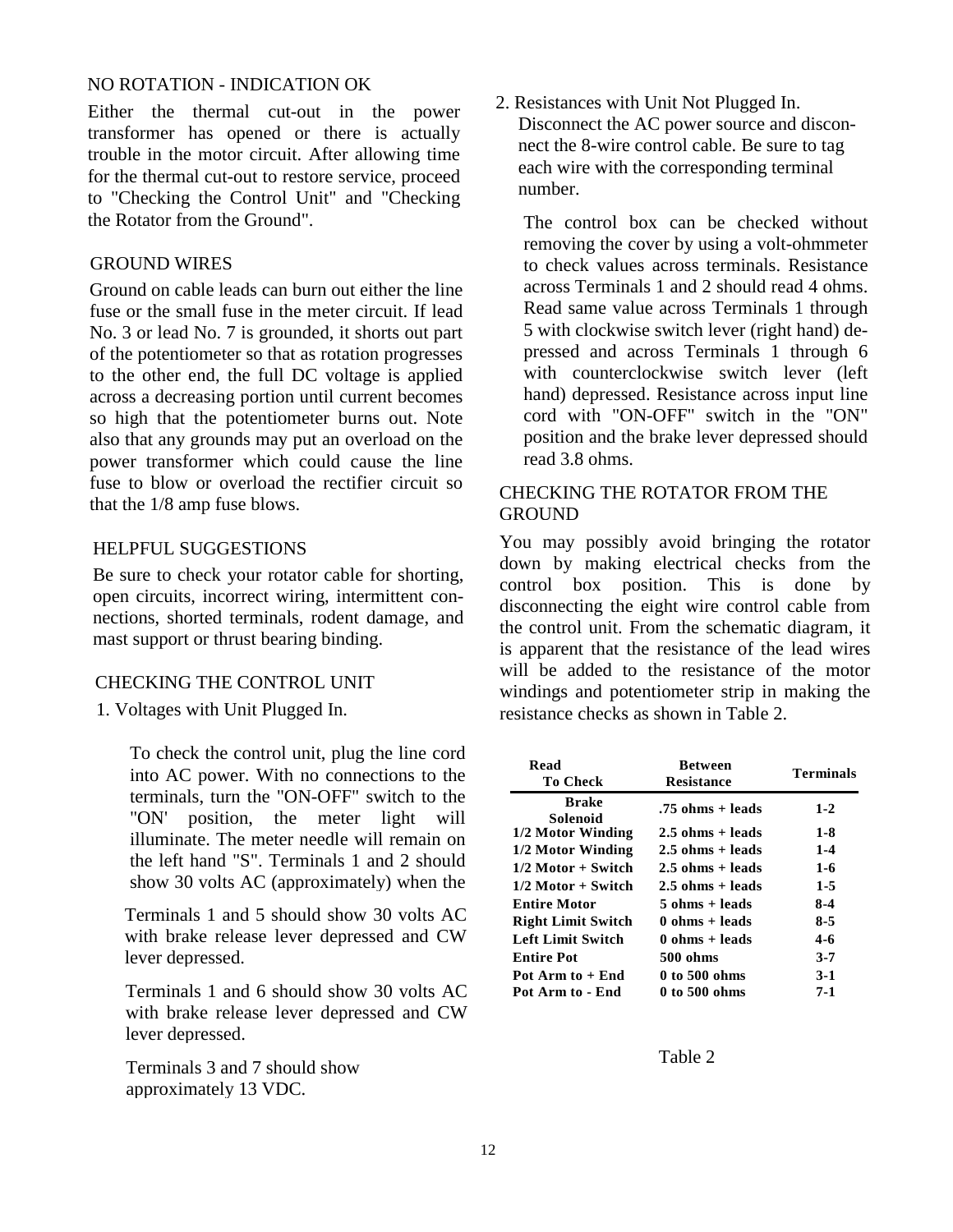#### NO ROTATION - INDICATION OK

Either the thermal cut-out in the power transformer has opened or there is actually trouble in the motor circuit. After allowing time for the thermal cut-out to restore service, proceed to "Checking the Control Unit" and "Checking the Rotator from the Ground".

#### GROUND WIRES

Ground on cable leads can burn out either the line fuse or the small fuse in the meter circuit. If lead No. 3 or lead No. 7 is grounded, it shorts out part of the potentiometer so that as rotation progresses to the other end, the full DC voltage is applied across a decreasing portion until current becomes so high that the potentiometer burns out. Note also that any grounds may put an overload on the power transformer which could cause the line fuse to blow or overload the rectifier circuit so that the 1/8 amp fuse blows.

#### HELPFUL SUGGESTIONS

Be sure to check your rotator cable for shorting, open circuits, incorrect wiring, intermittent connections, shorted terminals, rodent damage, and mast support or thrust bearing binding.

#### CHECKING THE CONTROL UNIT

1. Voltages with Unit Plugged In.

To check the control unit, plug the line cord into AC power. With no connections to the terminals, turn the "ON-OFF" switch to the "ON' position, the meter light will illuminate. The meter needle will remain on the left hand "S". Terminals 1 and 2 should show 30 volts AC (approximately) when the

Terminals 1 and 5 should show 30 volts AC with brake release lever depressed and CW lever depressed.

Terminals 1 and 6 should show 30 volts AC with brake release lever depressed and CW lever depressed.

Terminals 3 and 7 should show approximately 13 VDC.

2. Resistances with Unit Not Plugged In. Disconnect the AC power source and disconnect the 8-wire control cable. Be sure to tag each wire with the corresponding terminal number.

The control box can be checked without removing the cover by using a volt-ohmmeter to check values across terminals. Resistance across Terminals 1 and 2 should read 4 ohms. Read same value across Terminals 1 through 5 with clockwise switch lever (right hand) depressed and across Terminals 1 through 6 with counterclockwise switch lever (left hand) depressed. Resistance across input line cord with "ON-OFF" switch in the "ON" position and the brake lever depressed should read 3.8 ohms.

#### CHECKING THE ROTATOR FROM THE **GROUND**

You may possibly avoid bringing the rotator down by making electrical checks from the control box position. This is done by disconnecting the eight wire control cable from the control unit. From the schematic diagram, it is apparent that the resistance of the lead wires will be added to the resistance of the motor windings and potentiometer strip in making the resistance checks as shown in Table 2.

| Read<br>To Check          | <b>Between</b><br><b>Resistance</b> | <b>Terminals</b> |
|---------------------------|-------------------------------------|------------------|
| <b>Brake</b><br>Solenoid  | .75 ohms + leads                    | $1 - 2$          |
| 1/2 Motor Winding         | $2.5$ ohms + leads                  | $1-8$            |
| 1/2 Motor Winding         | $2.5$ ohms $+$ leads                | $1 - 4$          |
| $1/2$ Motor + Switch      | $2.5$ ohms $+$ leads                | $1 - 6$          |
| $1/2$ Motor + Switch      | $2.5$ ohms $+$ leads                | $1 - 5$          |
| <b>Entire Motor</b>       | 5 ohms + leads                      | $8-4$            |
| <b>Right Limit Switch</b> | $0 \text{ ohms} + \text{leads}$     | $8-5$            |
| <b>Left Limit Switch</b>  | $0 \text{ ohms} + \text{leads}$     | 4-6              |
| <b>Entire Pot</b>         | 500 ohms                            | $3 - 7$          |
| Pot Arm to + End          | 0 to 500 ohms                       | $3-1$            |
| Pot Arm to - End          | 0 to 500 ohms                       | 7-1              |

Table 2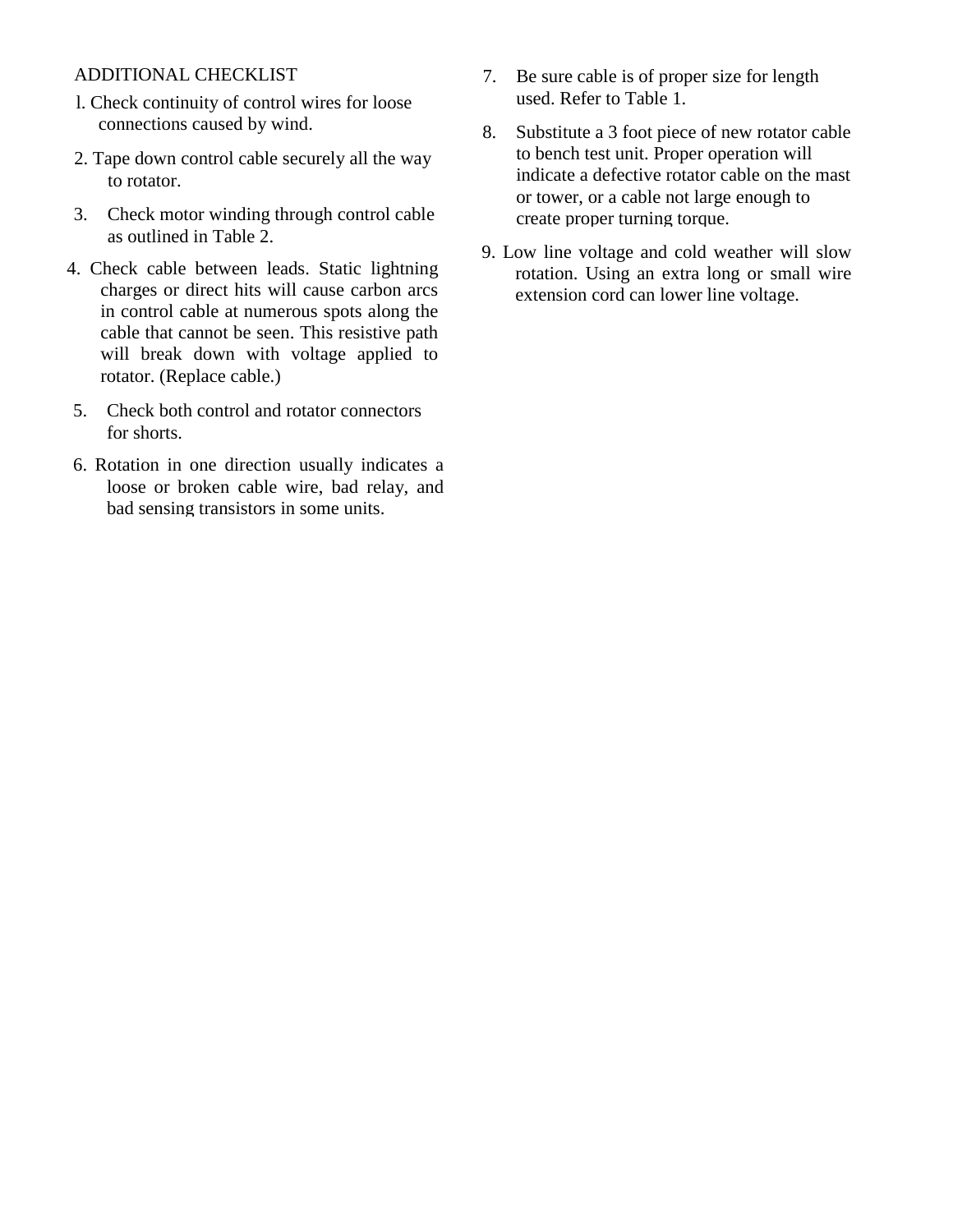### ADDITIONAL CHECKLIST

- l. Check continuity of control wires for loose connections caused by wind.
- 2. Tape down control cable securely all the way to rotator.
- 3. Check motor winding through control cable as outlined in Table 2.
- 4. Check cable between leads. Static lightning charges or direct hits will cause carbon arcs in control cable at numerous spots along the cable that cannot be seen. This resistive path will break down with voltage applied to rotator. (Replace cable.)
- 5. Check both control and rotator connectors for shorts.
- 6. Rotation in one direction usually indicates a loose or broken cable wire, bad relay, and bad sensing transistors in some units.
- 7. Be sure cable is of proper size for length used. Refer to Table 1.
- 8. Substitute a 3 foot piece of new rotator cable to bench test unit. Proper operation will indicate a defective rotator cable on the mast or tower, or a cable not large enough to create proper turning torque.
- 9. Low line voltage and cold weather will slow rotation. Using an extra long or small wire extension cord can lower line voltage.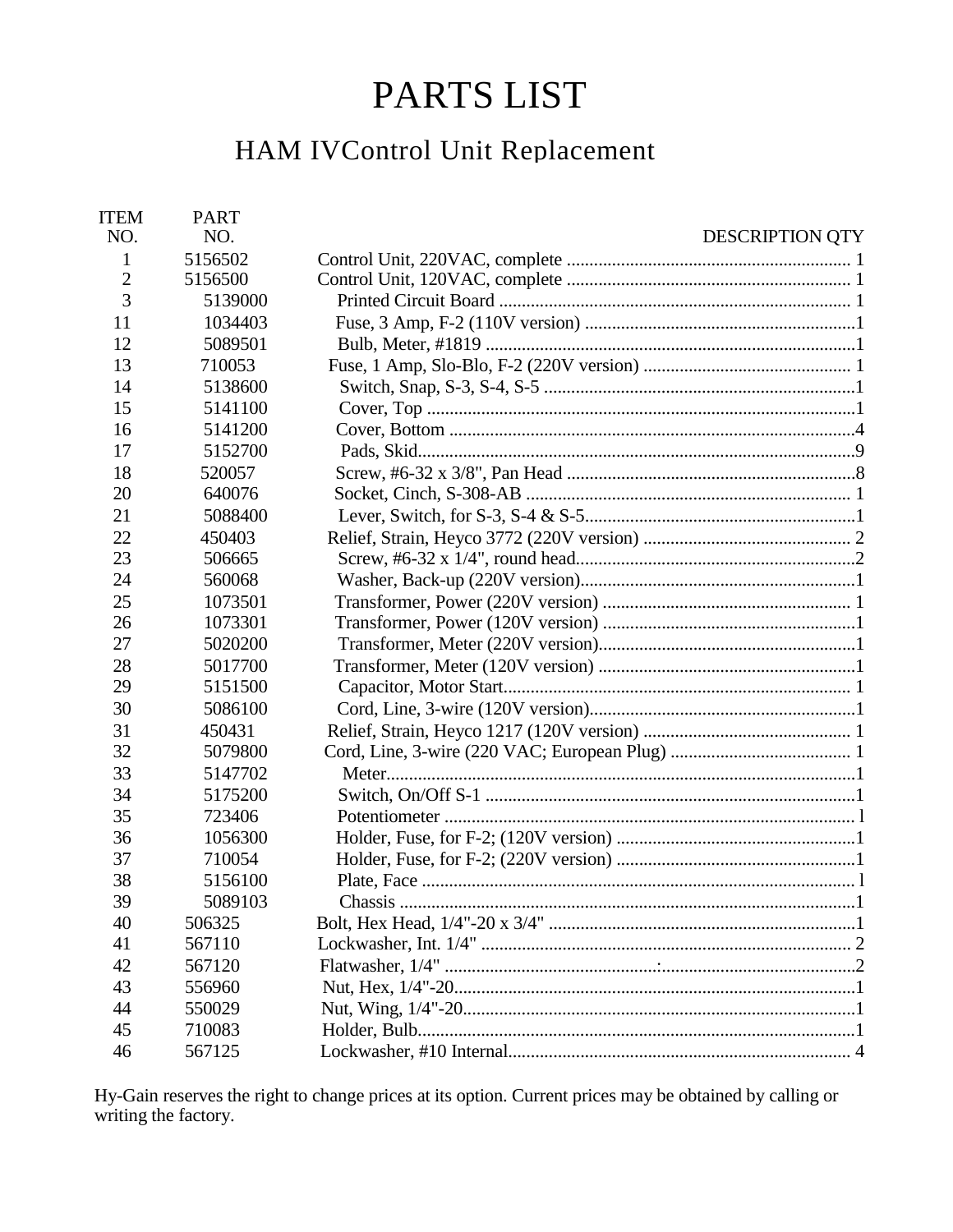# PARTS LIST

## HAM IVControl Unit Replacement

| <b>ITEM</b><br>NO. | <b>PART</b><br>NO. | <b>DESCRIPTION QTY</b> |
|--------------------|--------------------|------------------------|
| 1                  | 5156502            |                        |
| $\overline{2}$     | 5156500            |                        |
| 3                  | 5139000            |                        |
| 11                 | 1034403            |                        |
| 12                 | 5089501            |                        |
| 13                 | 710053             |                        |
| 14                 | 5138600            |                        |
| 15                 | 5141100            |                        |
| 16                 | 5141200            |                        |
| 17                 | 5152700            |                        |
| 18                 | 520057             |                        |
| 20                 | 640076             |                        |
| 21                 | 5088400            |                        |
| 22                 | 450403             |                        |
| 23                 | 506665             |                        |
| 24                 | 560068             |                        |
| 25                 | 1073501            |                        |
| 26                 | 1073301            |                        |
| 27                 | 5020200            |                        |
| 28                 | 5017700            |                        |
| 29                 | 5151500            |                        |
| 30                 | 5086100            |                        |
| 31                 | 450431             |                        |
| 32                 | 5079800            |                        |
| 33                 | 5147702            |                        |
| 34                 | 5175200            |                        |
| 35                 | 723406             |                        |
| 36                 | 1056300            |                        |
| 37                 | 710054             |                        |
| 38                 | 5156100            |                        |
| 39                 | 5089103            |                        |
| 40                 | 506325             |                        |
| 41                 | 567110             |                        |
| 42                 | 567120             |                        |
| 43                 | 556960             |                        |
| 44                 | 550029             |                        |
| 45                 | 710083             |                        |
| 46                 | 567125             |                        |

Hy-Gain reserves the right to change prices at its option. Current prices may be obtained by calling or writing the factory.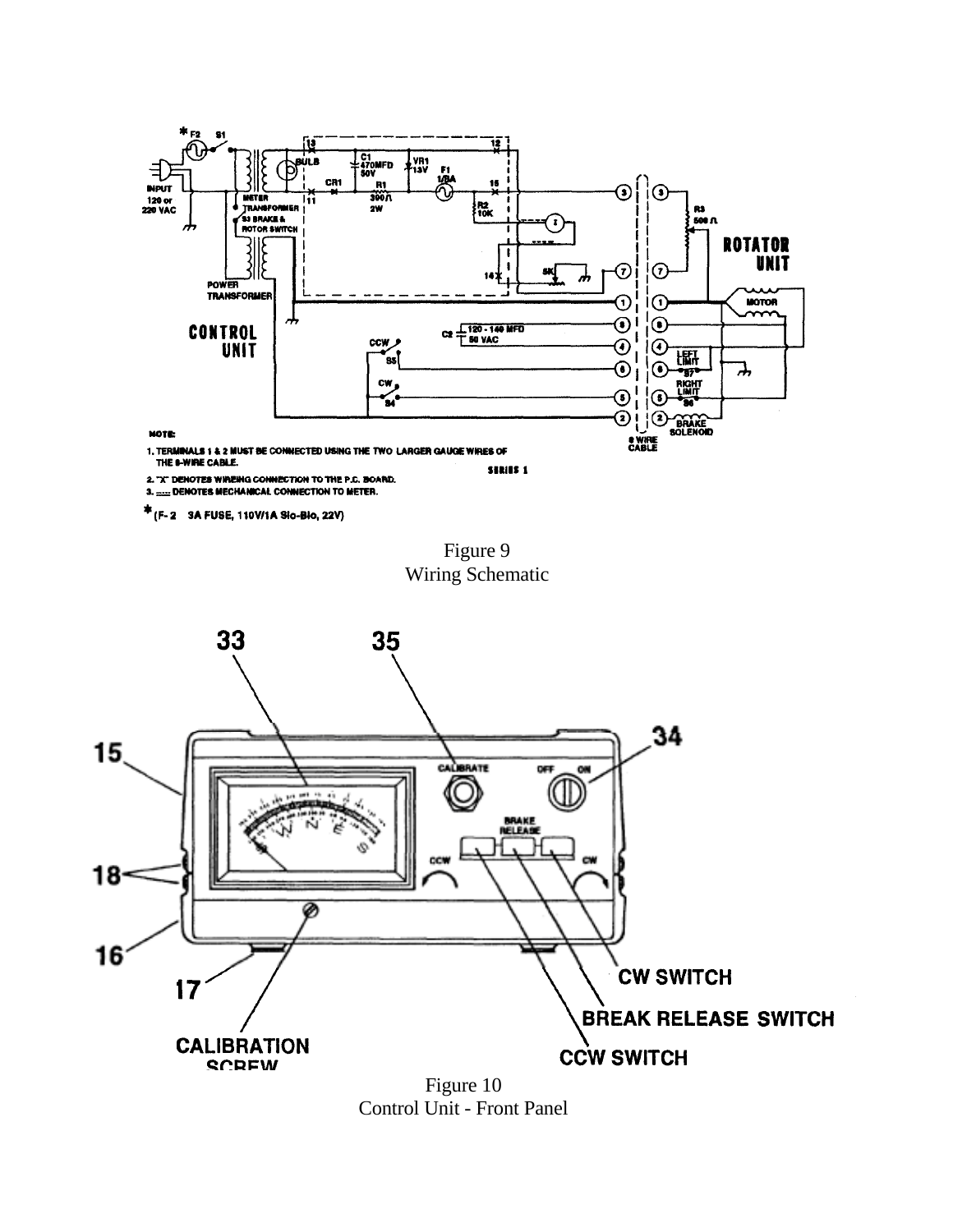

\* (F-2 3A FUSE, 110V/1A Slo-Blo, 22V)

Figure 9 Wiring Schematic



Figure 10 Control Unit - Front Panel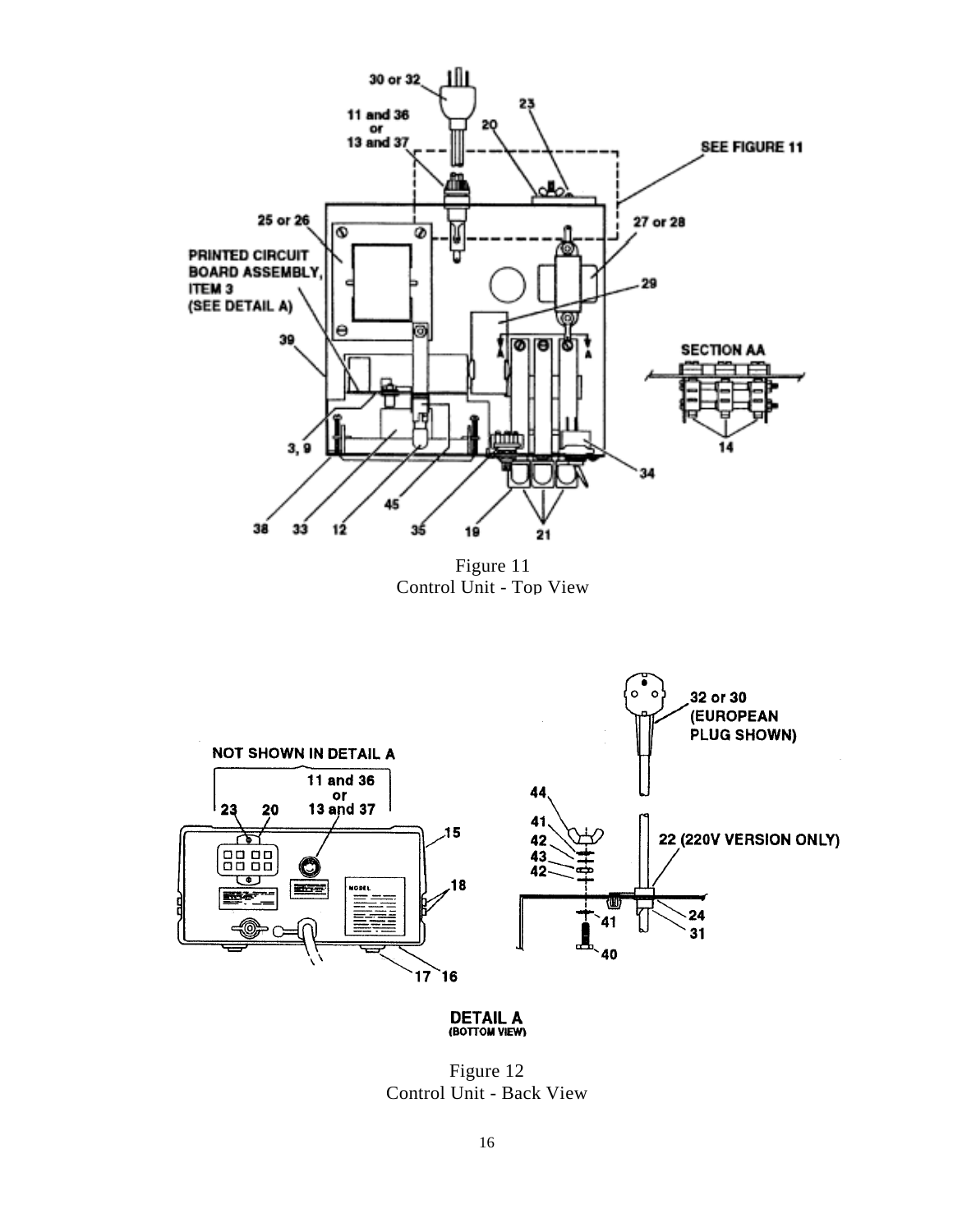

DETAIL A (BOTTOM VIEW)

Figure 12 Control Unit - Back View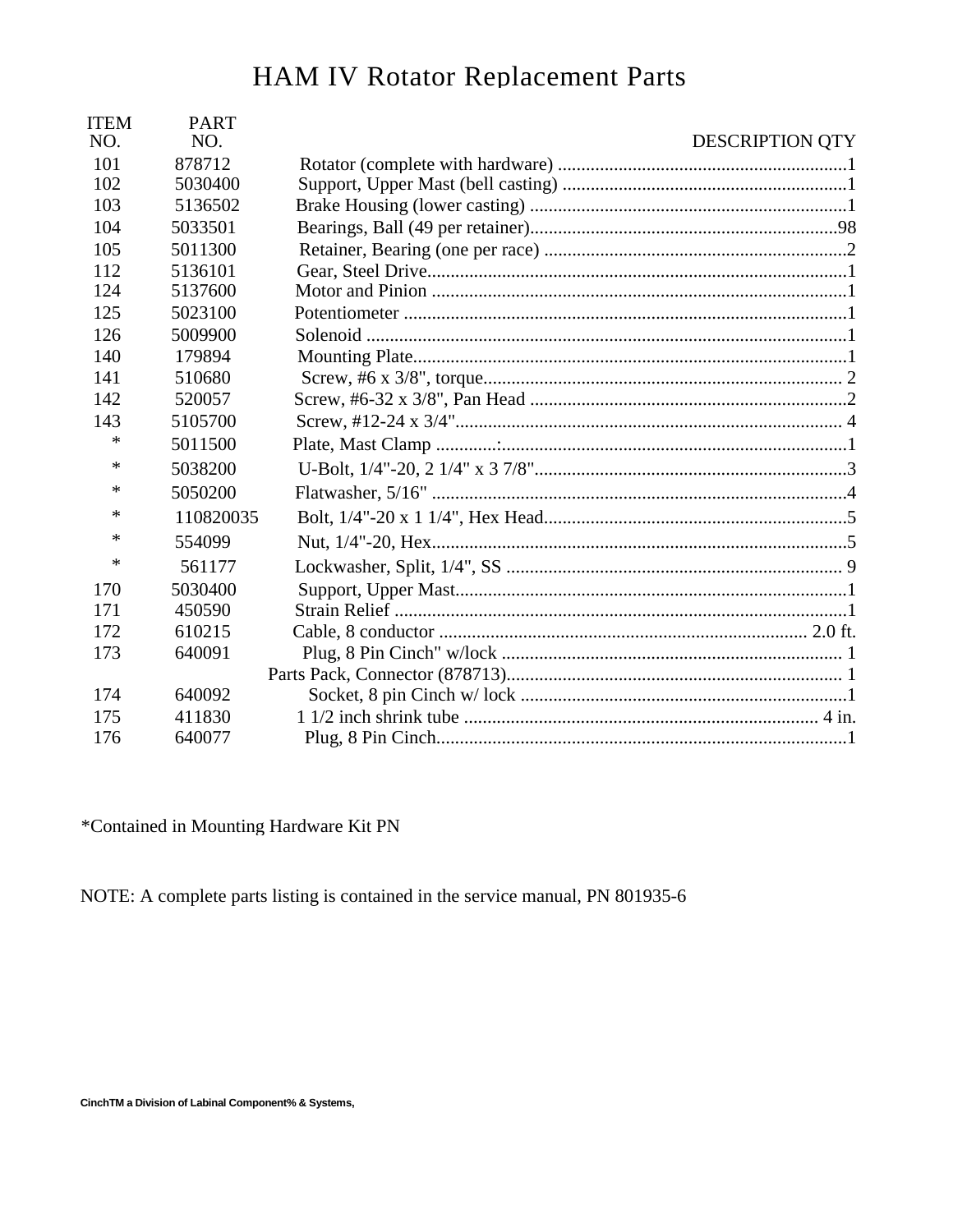## HAM IV Rotator Replacement Parts

| <b>DESCRIPTION QTY</b> | <b>PART</b><br>NO. | <b>ITEM</b><br>NO. |
|------------------------|--------------------|--------------------|
|                        | 101<br>878712      |                    |
|                        | 102<br>5030400     |                    |
|                        | 103<br>5136502     |                    |
|                        | 104<br>5033501     |                    |
|                        | 105<br>5011300     |                    |
|                        | 112<br>5136101     |                    |
|                        | 124<br>5137600     |                    |
|                        | 125<br>5023100     |                    |
|                        | 126<br>5009900     |                    |
|                        | 140<br>179894      |                    |
|                        | 141<br>510680      |                    |
|                        | 142<br>520057      |                    |
|                        | 143<br>5105700     |                    |
|                        | ∗<br>5011500       |                    |
|                        | ∗<br>5038200       |                    |
|                        | ∗<br>5050200       |                    |
|                        | ∗<br>110820035     |                    |
|                        | *<br>554099        |                    |
|                        | *<br>561177        |                    |
|                        | 5030400<br>170     |                    |
|                        | 171<br>450590      |                    |
|                        | 172<br>610215      |                    |
|                        | 173<br>640091      |                    |
|                        |                    |                    |
|                        | 174<br>640092      |                    |
|                        | 175<br>411830      |                    |
|                        | 176<br>640077      |                    |
|                        |                    |                    |

\*Contained in Mounting Hardware Kit PN

NOTE: A complete parts listing is contained in the service manual, PN 801935-6

CinchTM a Division of Labinal Component% & Systems,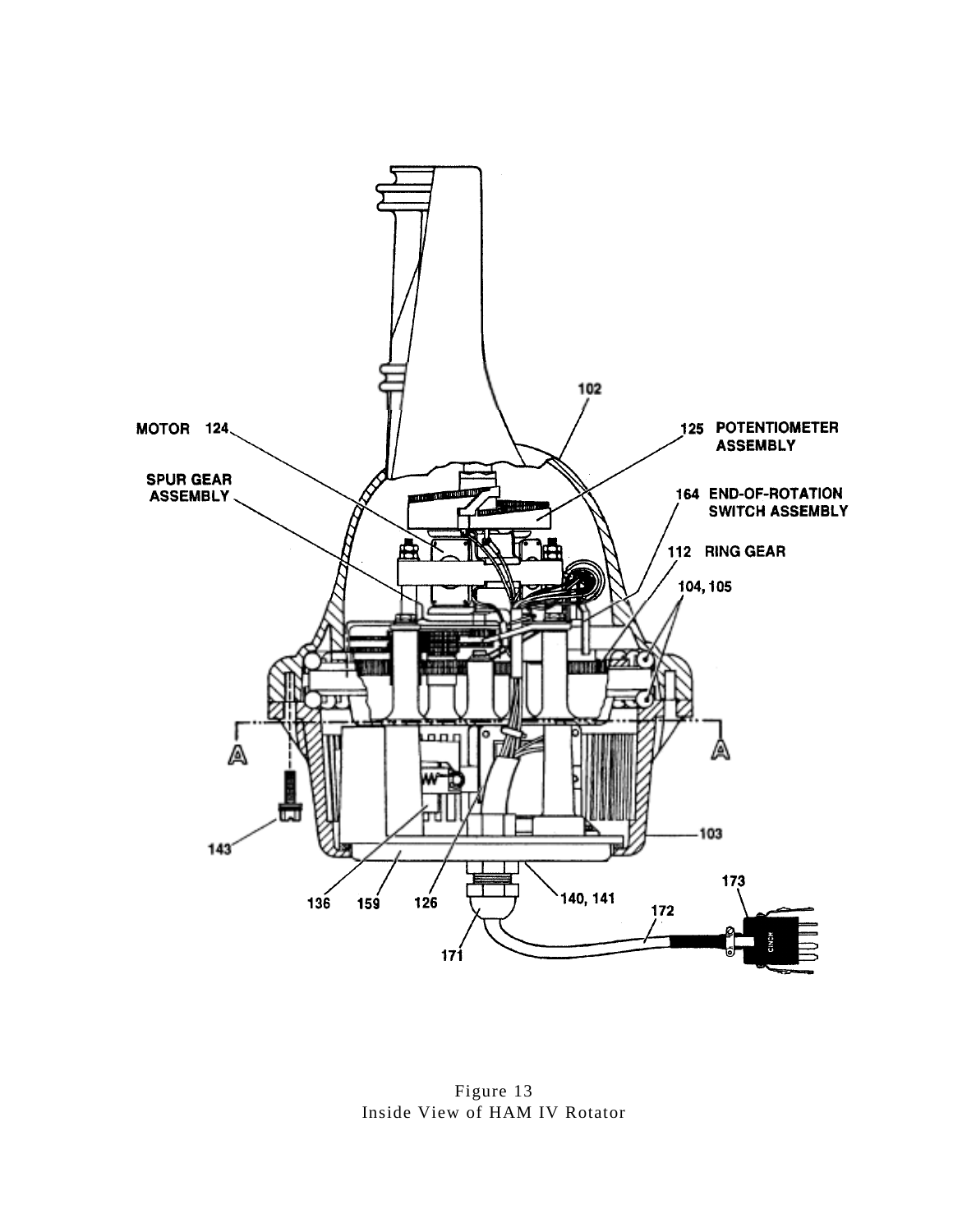

Figure 13 Inside View of HAM IV Rotator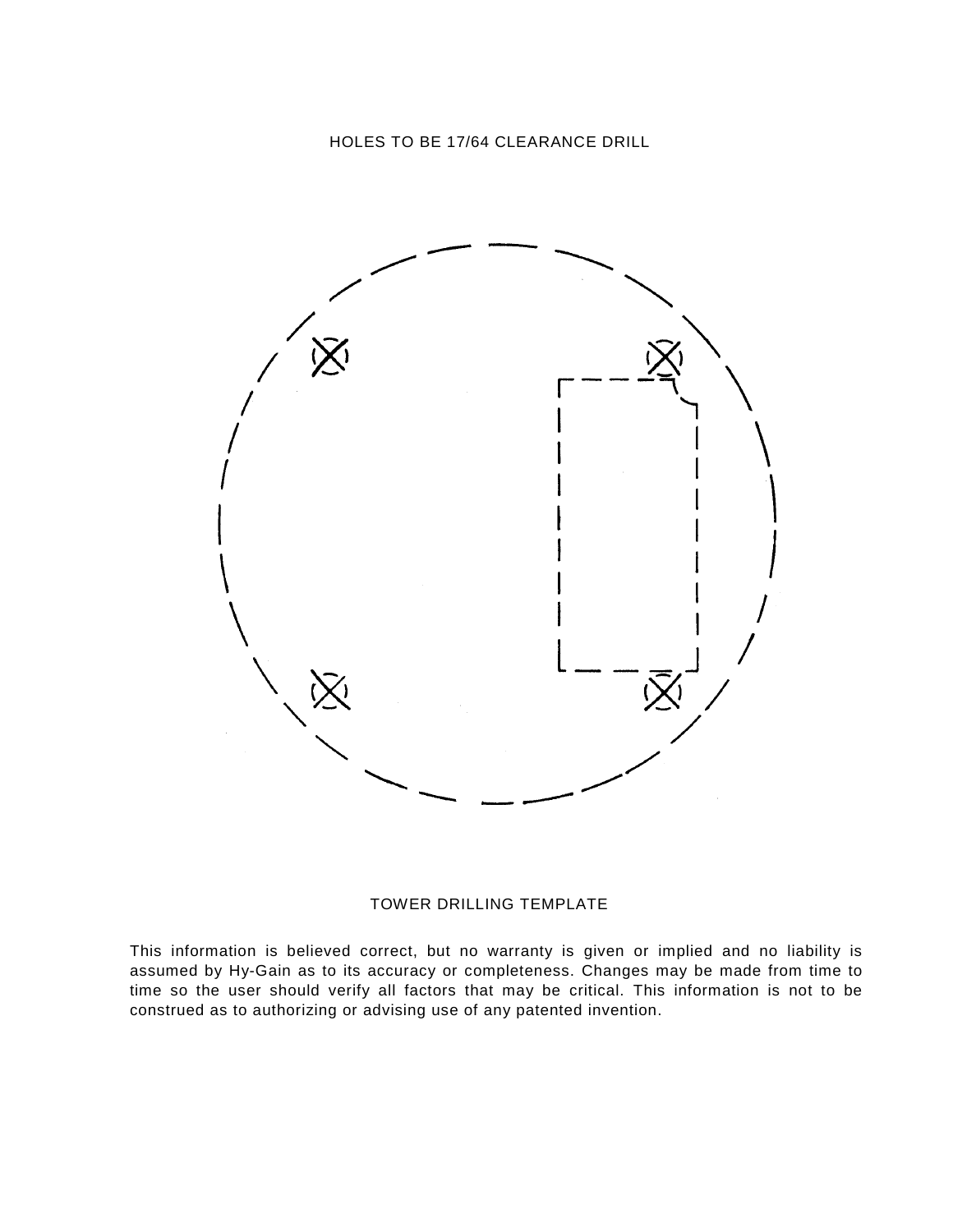

#### TOWER DRILLING TEMPLATE

This information is believed correct, but no warranty is given or implied and no liability is assumed by Hy-Gain as to its accuracy or completeness. Changes may be made from time to time so the user should verify all factors that may be critical. This information is not to be construed as to authorizing or advising use of any patented invention.